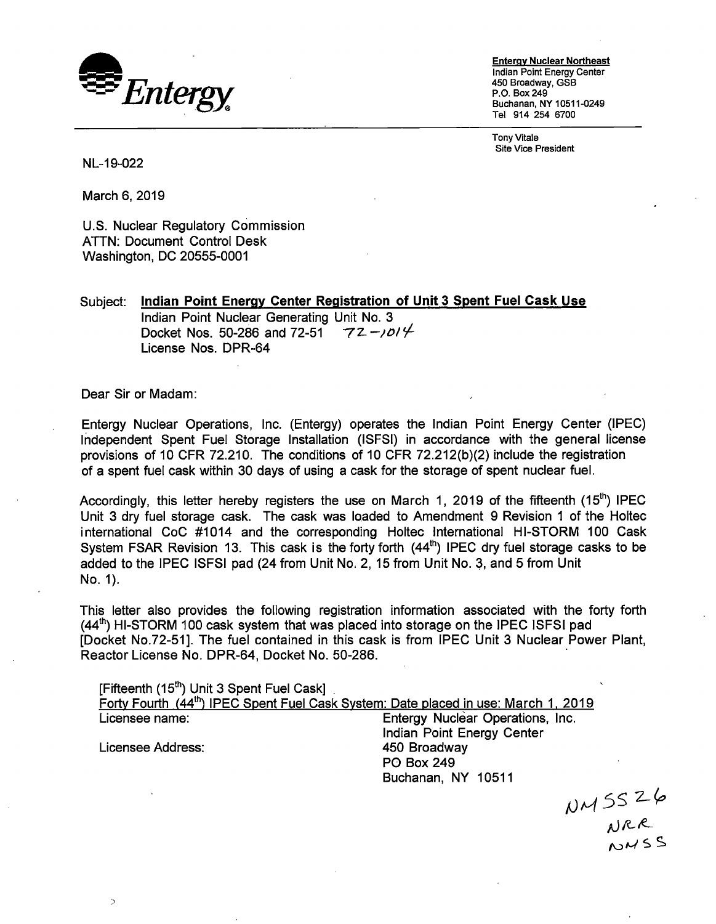

**Entergy Nuclear Northeast**  Indian Point Energy Center 450 Broadway, GSB P.O. Box249 Buchanan, NY 10511-0249 Tel 914 254 6700

Tony Vitale Site Vice President

NL-19-022

March 6, 2019

U.S. Nuclear Regulatory Commission ATTN: Document Control Desk Washington, DC 20555-0001

Subject: **Indian Point Energy Center Registration of Unit 3 Spent Fuel Cask Use**  Indian Point Nuclear Generating Unit No. 3<br>Docket Nos. 50-286 and 72-51  $72 - 1014$ Docket Nos. 50-286 and 72-51 License Nos. DPR-64

Dear Sir or Madam:

 $\rightarrow$ 

Entergy Nuclear Operations, Inc. (Entergy) operates the Indian Point Energy Center (IPEC) Independent Spent Fuel Storage Installation (ISFSI) in accordance with the general license provisions of 10 CFR 72.210. The conditions of 10 CFR 72.212(b)(2) include the registration of a spent fuel cask within 30 days of using a cask for the storage of spent nuclear fuel.

Accordingly, this letter hereby registers the use on March 1, 2019 of the fifteenth (15<sup>th</sup>) IPEC Unit 3 dry fuel storage cask. The cask was loaded to Amendment 9 Revision 1 of the Holtec international CoC #1014 and the corresponding Holtec International HI-STORM 100 Cask System FSAR Revision 13. This cask is the forty forth  $(44^{\text{th}})$  IPEC dry fuel storage casks to be added to the IPEC ISFSI pad (24 from Unit No. 2, 15 from Unit No. 3, and 5 from Unit No. 1).

This letter also provides the following registration information associated with the forty forth (44<sup>th</sup>) HI-STORM 100 cask system that was placed into storage on the IPEC ISFSI pad [Docket No.72-51]. The fuel contained in this cask is from IPEC Unit 3 Nuclear Power Plant, Reactor License No. DPR-64, Docket No. 50-286.

| [Fifteenth (15 <sup>th</sup> ) Unit 3 Spent Fuel Cask]                                          |                                  |
|-------------------------------------------------------------------------------------------------|----------------------------------|
| Forty Fourth (44 <sup>th</sup> ) IPEC Spent Fuel Cask System: Date placed in use: March 1, 2019 |                                  |
| Licensee name:                                                                                  | Entergy Nuclear Operations, Inc. |
|                                                                                                 | Indian Point Energy Center       |
| Licensee Address:                                                                               | 450 Broadway                     |
|                                                                                                 | <b>PO Box 249</b>                |
|                                                                                                 | Buchanan, NY 10511               |

 $NMSS26$ <br> $NRR$ <br> $NMSS$